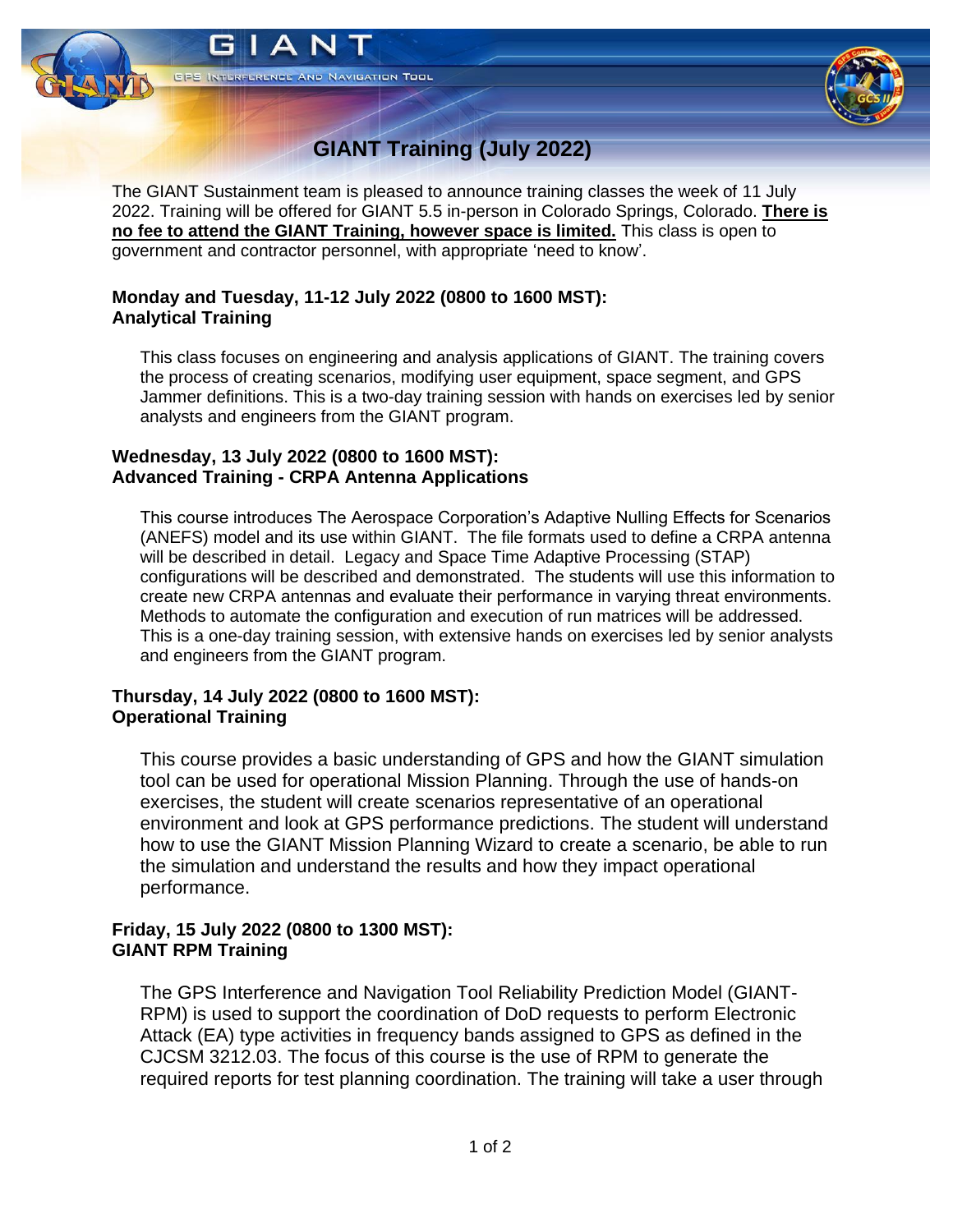

# **GIANT Training (July 2022)**

The GIANT Sustainment team is pleased to announce training classes the week of 11 July 2022. Training will be offered for GIANT 5.5 in-person in Colorado Springs, Colorado. **There is no fee to attend the GIANT Training, however space is limited.** This class is open to government and contractor personnel, with appropriate 'need to know'.

#### **Monday and Tuesday, 11-12 July 2022 (0800 to 1600 MST): Analytical Training**

This class focuses on engineering and analysis applications of GIANT. The training covers the process of creating scenarios, modifying user equipment, space segment, and GPS Jammer definitions. This is a two-day training session with hands on exercises led by senior analysts and engineers from the GIANT program.

#### **Wednesday, 13 July 2022 (0800 to 1600 MST): Advanced Training - CRPA Antenna Applications**

This course introduces The Aerospace Corporation's Adaptive Nulling Effects for Scenarios (ANEFS) model and its use within GIANT. The file formats used to define a CRPA antenna will be described in detail. Legacy and Space Time Adaptive Processing (STAP) configurations will be described and demonstrated. The students will use this information to create new CRPA antennas and evaluate their performance in varying threat environments. Methods to automate the configuration and execution of run matrices will be addressed. This is a one-day training session, with extensive hands on exercises led by senior analysts and engineers from the GIANT program.

## **Thursday, 14 July 2022 (0800 to 1600 MST): Operational Training**

This course provides a basic understanding of GPS and how the GIANT simulation tool can be used for operational Mission Planning. Through the use of hands-on exercises, the student will create scenarios representative of an operational environment and look at GPS performance predictions. The student will understand how to use the GIANT Mission Planning Wizard to create a scenario, be able to run the simulation and understand the results and how they impact operational performance.

## **Friday, 15 July 2022 (0800 to 1300 MST): GIANT RPM Training**

The GPS Interference and Navigation Tool Reliability Prediction Model (GIANT-RPM) is used to support the coordination of DoD requests to perform Electronic Attack (EA) type activities in frequency bands assigned to GPS as defined in the CJCSM 3212.03. The focus of this course is the use of RPM to generate the required reports for test planning coordination. The training will take a user through